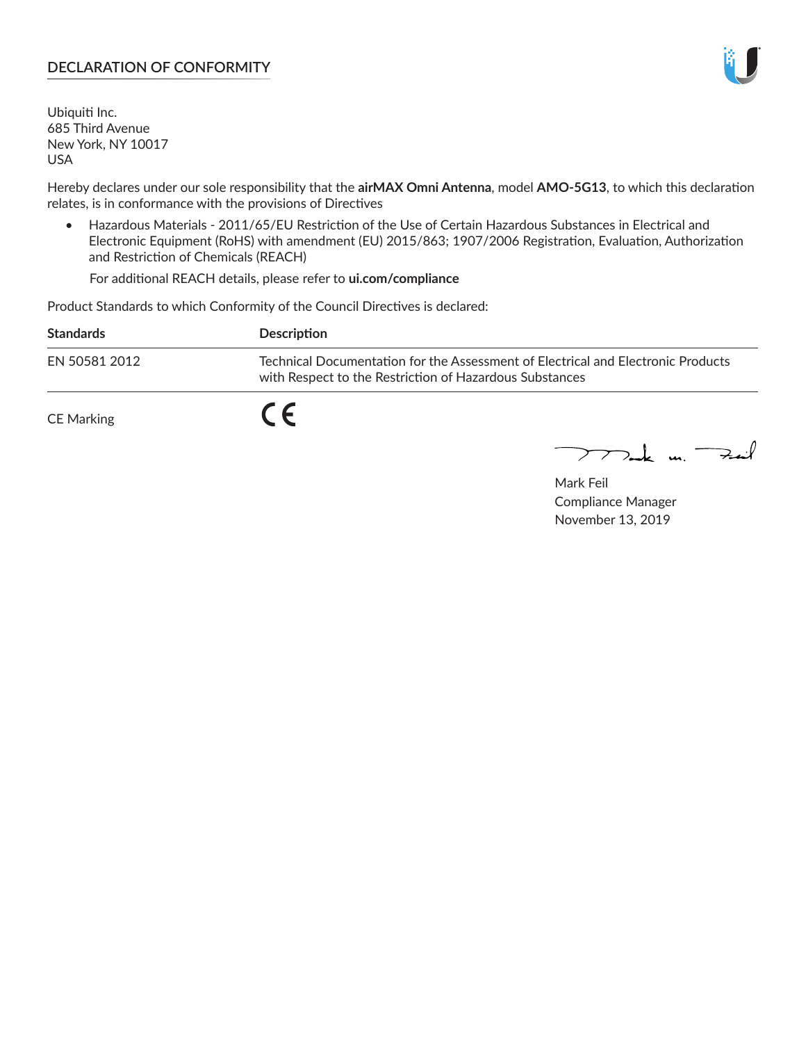#### **DECLARATION OF CONFORMITY**

Ubiquiti Inc. 685 Third Avenue New York, NY 10017 USA

Hereby declares under our sole responsibility that the **airMAX Omni Antenna**, model **AMO-5G13**, to which this declaration relates, is in conformance with the provisions of Directives

• Hazardous Materials - 2011/65/EU Restriction of the Use of Certain Hazardous Substances in Electrical and Electronic Equipment (RoHS) with amendment (EU) 2015/863; 1907/2006 Registration, Evaluation, Authorization and Restriction of Chemicals (REACH)

For additional REACH details, please refer to **ui.com/compliance**

Product Standards to which Conformity of the Council Directives is declared:

| <b>Standards</b>  | Description                                                                                                                                 |
|-------------------|---------------------------------------------------------------------------------------------------------------------------------------------|
| EN 50581 2012     | Technical Documentation for the Assessment of Electrical and Electronic Products<br>with Respect to the Restriction of Hazardous Substances |
| <b>CE Marking</b> |                                                                                                                                             |

 $\sum_{n=1}^{\infty}$  un  $\sum_{n=1}^{\infty}$ 

Mark Feil Compliance Manager November 13, 2019

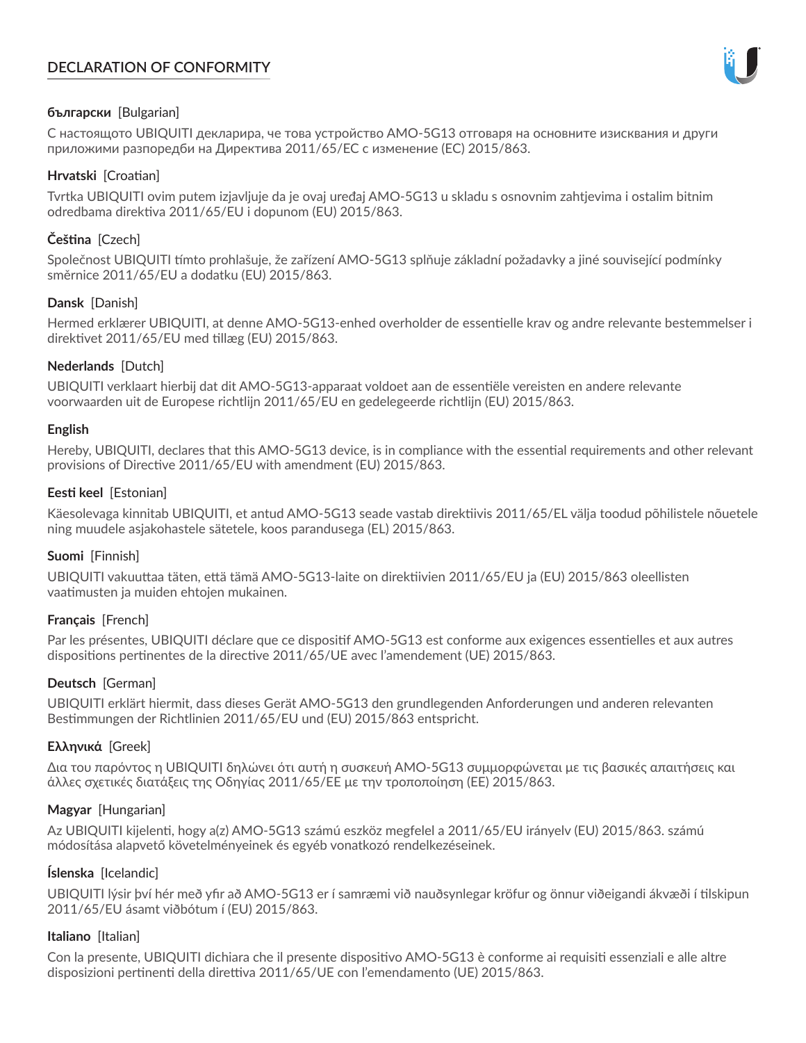# **DECLARATION OF CONFORMITY**



### **български** [Bulgarian]

С настоящото UBIQUITI декларира, че това устройство AMO-5G13 отговаря на основните изисквания и други приложими разпоредби на Директива 2011/65/ЕС с изменение (ЕС) 2015/863.

# **Hrvatski** [Croatian]

Tvrtka UBIQUITI ovim putem izjavljuje da je ovaj uređaj AMO-5G13 u skladu s osnovnim zahtjevima i ostalim bitnim odredbama direktiva 2011/65/EU i dopunom (EU) 2015/863.

# **Čeština** [Czech]

Společnost UBIQUITI tímto prohlašuje, že zařízení AMO-5G13 splňuje základní požadavky a jiné související podmínky směrnice 2011/65/EU a dodatku (EU) 2015/863.

### **Dansk** [Danish]

Hermed erklærer UBIQUITI, at denne AMO-5G13-enhed overholder de essentielle krav og andre relevante bestemmelser i direktivet 2011/65/EU med tillæg (EU) 2015/863.

### **Nederlands** [Dutch]

UBIQUITI verklaart hierbij dat dit AMO-5G13-apparaat voldoet aan de essentiële vereisten en andere relevante voorwaarden uit de Europese richtlijn 2011/65/EU en gedelegeerde richtlijn (EU) 2015/863.

### **English**

Hereby, UBIQUITI, declares that this AMO-5G13 device, is in compliance with the essential requirements and other relevant provisions of Directive 2011/65/EU with amendment (EU) 2015/863.

### **Eesti keel** [Estonian]

Käesolevaga kinnitab UBIQUITI, et antud AMO-5G13 seade vastab direktiivis 2011/65/EL välja toodud põhilistele nõuetele ning muudele asjakohastele sätetele, koos parandusega (EL) 2015/863.

### **Suomi** [Finnish]

UBIQUITI vakuuttaa täten, että tämä AMO-5G13-laite on direktiivien 2011/65/EU ja (EU) 2015/863 oleellisten vaatimusten ja muiden ehtojen mukainen.

### **Français** [French]

Par les présentes, UBIQUITI déclare que ce dispositif AMO-5G13 est conforme aux exigences essentielles et aux autres dispositions pertinentes de la directive 2011/65/UE avec l'amendement (UE) 2015/863.

### **Deutsch** [German]

UBIQUITI erklärt hiermit, dass dieses Gerät AMO-5G13 den grundlegenden Anforderungen und anderen relevanten Bestimmungen der Richtlinien 2011/65/EU und (EU) 2015/863 entspricht.

### **Ελληνικά** [Greek]

Δια του παρόντος η UBIQUITI δηλώνει ότι αυτή η συσκευή AMO-5G13 συμμορφώνεται με τις βασικές απαιτήσεις και άλλες σχετικές διατάξεις της Οδηγίας 2011/65/ΕΕ με την τροποποίηση (ΕΕ) 2015/863.

### **Magyar** [Hungarian]

Az UBIQUITI kijelenti, hogy a(z) AMO-5G13 számú eszköz megfelel a 2011/65/EU irányelv (EU) 2015/863. számú módosítása alapvető követelményeinek és egyéb vonatkozó rendelkezéseinek.

### **Íslenska** [Icelandic]

UBIQUITI lýsir því hér með yfir að AMO-5G13 er í samræmi við nauðsynlegar kröfur og önnur viðeigandi ákvæði í tilskipun 2011/65/EU ásamt viðbótum í (EU) 2015/863.

### **Italiano** [Italian]

Con la presente, UBIQUITI dichiara che il presente dispositivo AMO-5G13 è conforme ai requisiti essenziali e alle altre disposizioni pertinenti della direttiva 2011/65/UE con l'emendamento (UE) 2015/863.